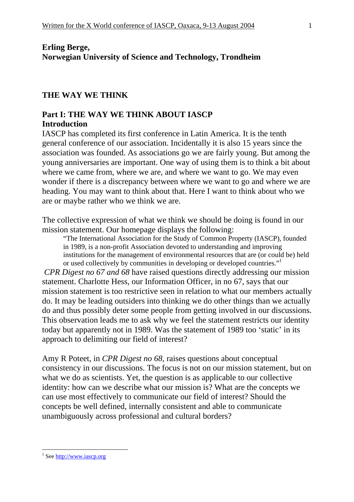### **Erling Berge, Norwegian University of Science and Technology, Trondheim**

#### **THE WAY WE THINK**

#### **Part I: THE WAY WE THINK ABOUT IASCP Introduction**

IASCP has completed its first conference in Latin America. It is the tenth general conference of our association. Incidentally it is also 15 years since the association was founded. As associations go we are fairly young. But among the young anniversaries are important. One way of using them is to think a bit about where we came from, where we are, and where we want to go. We may even wonder if there is a discrepancy between where we want to go and where we are heading. You may want to think about that. Here I want to think about who we are or maybe rather who we think we are.

The collective expression of what we think we should be doing is found in our mission statement. Our homepage displays the following:

"The International Association for the Study of Common Property (IASCP), founded in 1989, is a non-profit Association devoted to understanding and improving institutions for the management of environmental resources that are (or could be) held or used collectively by communities in developing or developed countries."<sup>1</sup>

*CPR Digest no 67 and 68* have raised questions directly addressing our mission statement. Charlotte Hess, our Information Officer, in no 67, says that our mission statement is too restrictive seen in relation to what our members actually do. It may be leading outsiders into thinking we do other things than we actually do and thus possibly deter some people from getting involved in our discussions. This observation leads me to ask why we feel the statement restricts our identity today but apparently not in 1989. Was the statement of 1989 too 'static' in its approach to delimiting our field of interest?

Amy R Poteet, in *CPR Digest no 68*, raises questions about conceptual consistency in our discussions. The focus is not on our mission statement, but on what we do as scientists. Yet, the question is as applicable to our collective identity: how can we describe what our mission is? What are the concepts we can use most effectively to communicate our field of interest? Should the concepts be well defined, internally consistent and able to communicate unambiguously across professional and cultural borders?

1

<sup>&</sup>lt;sup>1</sup> See http://www.iascp.org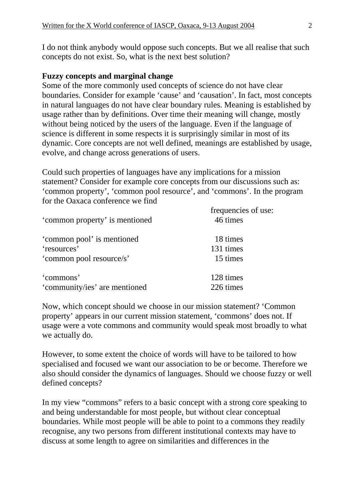I do not think anybody would oppose such concepts. But we all realise that such concepts do not exist. So, what is the next best solution?

## **Fuzzy concepts and marginal change**

Some of the more commonly used concepts of science do not have clear boundaries. Consider for example 'cause' and 'causation'. In fact, most concepts in natural languages do not have clear boundary rules. Meaning is established by usage rather than by definitions. Over time their meaning will change, mostly without being noticed by the users of the language. Even if the language of science is different in some respects it is surprisingly similar in most of its dynamic. Core concepts are not well defined, meanings are established by usage, evolve, and change across generations of users.

Could such properties of languages have any implications for a mission statement? Consider for example core concepts from our discussions such as: 'common property', 'common pool resource', and 'commons'. In the program for the Oaxaca conference we find

| 'common property' is mentioned | frequencies of use:<br>46 times |
|--------------------------------|---------------------------------|
| 'common pool' is mentioned     | 18 times                        |
| 'resources'                    | 131 times                       |
| 'common pool resource/s'       | 15 times                        |
| 'commons'                      | 128 times                       |
| 'community/ies' are mentioned  | 226 times                       |

Now, which concept should we choose in our mission statement? 'Common property' appears in our current mission statement, 'commons' does not. If usage were a vote commons and community would speak most broadly to what we actually do.

However, to some extent the choice of words will have to be tailored to how specialised and focused we want our association to be or become. Therefore we also should consider the dynamics of languages. Should we choose fuzzy or well defined concepts?

In my view "commons" refers to a basic concept with a strong core speaking to and being understandable for most people, but without clear conceptual boundaries. While most people will be able to point to a commons they readily recognise, any two persons from different institutional contexts may have to discuss at some length to agree on similarities and differences in the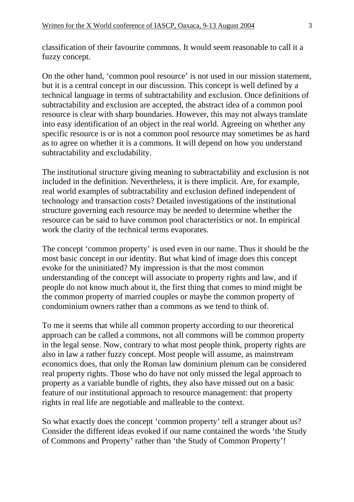classification of their favourite commons. It would seem reasonable to call it a fuzzy concept.

On the other hand, 'common pool resource' is not used in our mission statement, but it is a central concept in our discussion. This concept is well defined by a technical language in terms of subtractability and exclusion. Once definitions of subtractability and exclusion are accepted, the abstract idea of a common pool resource is clear with sharp boundaries. However, this may not always translate into easy identification of an object in the real world. Agreeing on whether any specific resource is or is not a common pool resource may sometimes be as hard as to agree on whether it is a commons. It will depend on how you understand subtractability and excludability.

The institutional structure giving meaning to subtractability and exclusion is not included in the definition. Nevertheless, it is there implicit. Are, for example, real world examples of subtractability and exclusion defined independent of technology and transaction costs? Detailed investigations of the institutional structure governing each resource may be needed to determine whether the resource can be said to have common pool characteristics or not. In empirical work the clarity of the technical terms evaporates.

The concept 'common property' is used even in our name. Thus it should be the most basic concept in our identity. But what kind of image does this concept evoke for the uninitiated? My impression is that the most common understanding of the concept will associate to property rights and law, and if people do not know much about it, the first thing that comes to mind might be the common property of married couples or maybe the common property of condominium owners rather than a commons as we tend to think of.

To me it seems that while all common property according to our theoretical approach can be called a commons, not all commons will be common property in the legal sense. Now, contrary to what most people think, property rights are also in law a rather fuzzy concept. Most people will assume, as mainstream economics does, that only the Roman law dominium plenum can be considered real property rights. Those who do have not only missed the legal approach to property as a variable bundle of rights, they also have missed out on a basic feature of our institutional approach to resource management: that property rights in real life are negotiable and malleable to the context.

So what exactly does the concept 'common property' tell a stranger about us? Consider the different ideas evoked if our name contained the words 'the Study of Commons and Property' rather than 'the Study of Common Property'!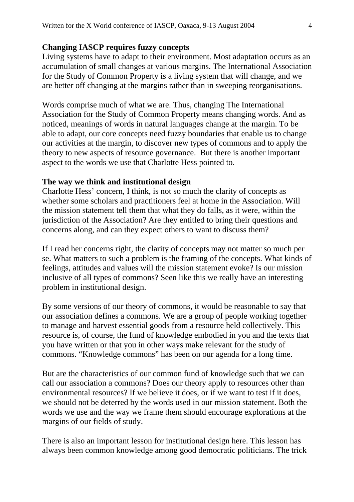#### **Changing IASCP requires fuzzy concepts**

Living systems have to adapt to their environment. Most adaptation occurs as an accumulation of small changes at various margins. The International Association for the Study of Common Property is a living system that will change, and we are better off changing at the margins rather than in sweeping reorganisations.

Words comprise much of what we are. Thus, changing The International Association for the Study of Common Property means changing words. And as noticed, meanings of words in natural languages change at the margin. To be able to adapt, our core concepts need fuzzy boundaries that enable us to change our activities at the margin, to discover new types of commons and to apply the theory to new aspects of resource governance. But there is another important aspect to the words we use that Charlotte Hess pointed to.

#### **The way we think and institutional design**

Charlotte Hess' concern, I think, is not so much the clarity of concepts as whether some scholars and practitioners feel at home in the Association. Will the mission statement tell them that what they do falls, as it were, within the jurisdiction of the Association? Are they entitled to bring their questions and concerns along, and can they expect others to want to discuss them?

If I read her concerns right, the clarity of concepts may not matter so much per se. What matters to such a problem is the framing of the concepts. What kinds of feelings, attitudes and values will the mission statement evoke? Is our mission inclusive of all types of commons? Seen like this we really have an interesting problem in institutional design.

By some versions of our theory of commons, it would be reasonable to say that our association defines a commons. We are a group of people working together to manage and harvest essential goods from a resource held collectively. This resource is, of course, the fund of knowledge embodied in you and the texts that you have written or that you in other ways make relevant for the study of commons. "Knowledge commons" has been on our agenda for a long time.

But are the characteristics of our common fund of knowledge such that we can call our association a commons? Does our theory apply to resources other than environmental resources? If we believe it does, or if we want to test if it does, we should not be deterred by the words used in our mission statement. Both the words we use and the way we frame them should encourage explorations at the margins of our fields of study.

There is also an important lesson for institutional design here. This lesson has always been common knowledge among good democratic politicians. The trick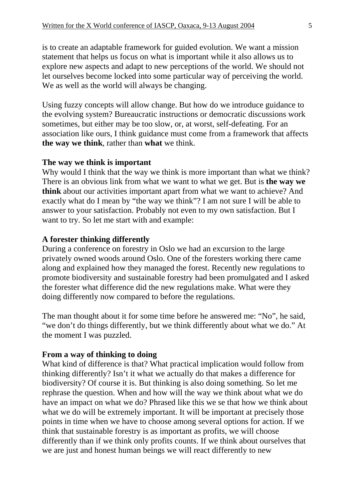is to create an adaptable framework for guided evolution. We want a mission statement that helps us focus on what is important while it also allows us to explore new aspects and adapt to new perceptions of the world. We should not let ourselves become locked into some particular way of perceiving the world. We as well as the world will always be changing.

Using fuzzy concepts will allow change. But how do we introduce guidance to the evolving system? Bureaucratic instructions or democratic discussions work sometimes, but either may be too slow, or, at worst, self-defeating. For an association like ours, I think guidance must come from a framework that affects **the way we think**, rather than **what** we think.

#### **The way we think is important**

Why would I think that the way we think is more important than what we think? There is an obvious link from what we want to what we get. But is **the way we think** about our activities important apart from what we want to achieve? And exactly what do I mean by "the way we think"? I am not sure I will be able to answer to your satisfaction. Probably not even to my own satisfaction. But I want to try. So let me start with and example:

#### **A forester thinking differently**

During a conference on forestry in Oslo we had an excursion to the large privately owned woods around Oslo. One of the foresters working there came along and explained how they managed the forest. Recently new regulations to promote biodiversity and sustainable forestry had been promulgated and I asked the forester what difference did the new regulations make. What were they doing differently now compared to before the regulations.

The man thought about it for some time before he answered me: "No", he said, "we don't do things differently, but we think differently about what we do." At the moment I was puzzled.

#### **From a way of thinking to doing**

What kind of difference is that? What practical implication would follow from thinking differently? Isn't it what we actually do that makes a difference for biodiversity? Of course it is. But thinking is also doing something. So let me rephrase the question. When and how will the way we think about what we do have an impact on what we do? Phrased like this we se that how we think about what we do will be extremely important. It will be important at precisely those points in time when we have to choose among several options for action. If we think that sustainable forestry is as important as profits, we will choose differently than if we think only profits counts. If we think about ourselves that we are just and honest human beings we will react differently to new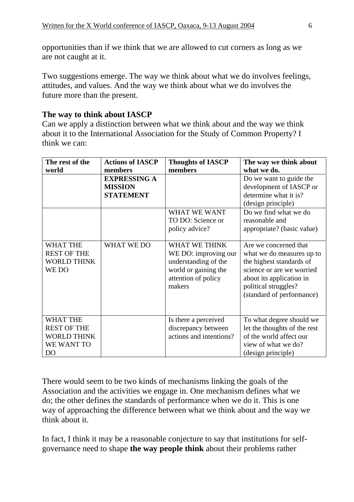opportunities than if we think that we are allowed to cut corners as long as we are not caught at it.

Two suggestions emerge. The way we think about what we do involves feelings, attitudes, and values. And the way we think about what we do involves the future more than the present.

## **The way to think about IASCP**

Can we apply a distinction between what we think about and the way we think about it to the International Association for the Study of Common Property? I think we can:

| The rest of the                                                                             | <b>Actions of IASCP</b> | <b>Thoughts of IASCP</b>                                                                                               | The way we think about                                                                                                                                                                       |
|---------------------------------------------------------------------------------------------|-------------------------|------------------------------------------------------------------------------------------------------------------------|----------------------------------------------------------------------------------------------------------------------------------------------------------------------------------------------|
| world                                                                                       | members                 | members                                                                                                                | what we do.                                                                                                                                                                                  |
|                                                                                             | <b>EXPRESSING A</b>     |                                                                                                                        | Do we want to guide the                                                                                                                                                                      |
|                                                                                             | <b>MISSION</b>          |                                                                                                                        | development of IASCP or                                                                                                                                                                      |
|                                                                                             | <b>STATEMENT</b>        |                                                                                                                        | determine what it is?                                                                                                                                                                        |
|                                                                                             |                         |                                                                                                                        | (design principle)                                                                                                                                                                           |
|                                                                                             |                         | WHAT WE WANT                                                                                                           | Do we find what we do                                                                                                                                                                        |
|                                                                                             |                         | TO DO: Science or                                                                                                      | reasonable and                                                                                                                                                                               |
|                                                                                             |                         | policy advice?                                                                                                         | appropriate? (basic value)                                                                                                                                                                   |
|                                                                                             |                         |                                                                                                                        |                                                                                                                                                                                              |
| <b>WHAT THE</b><br><b>REST OF THE</b><br><b>WORLD THINK</b><br>WE DO                        | WHAT WE DO              | WHAT WE THINK<br>WE DO: improving our<br>understanding of the<br>world or gaining the<br>attention of policy<br>makers | Are we concerned that<br>what we do measures up to<br>the highest standards of<br>science or are we worried<br>about its application in<br>political struggles?<br>(standard of performance) |
| <b>WHAT THE</b><br><b>REST OF THE</b><br><b>WORLD THINK</b><br>WE WANT TO<br>D <sub>O</sub> |                         | Is there a perceived<br>discrepancy between<br>actions and intentions?                                                 | To what degree should we<br>let the thoughts of the rest<br>of the world affect our<br>view of what we do?<br>(design principle)                                                             |

There would seem to be two kinds of mechanisms linking the goals of the Association and the activities we engage in. One mechanism defines what we do; the other defines the standards of performance when we do it. This is one way of approaching the difference between what we think about and the way we think about it.

In fact, I think it may be a reasonable conjecture to say that institutions for selfgovernance need to shape **the way people think** about their problems rather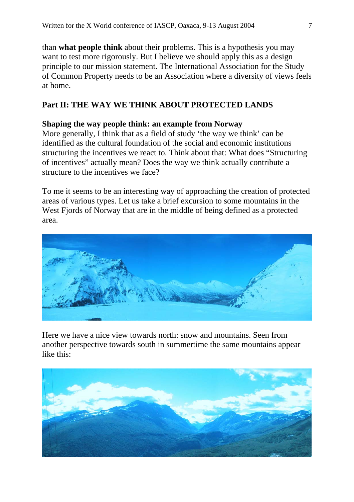than **what people think** about their problems. This is a hypothesis you may want to test more rigorously. But I believe we should apply this as a design principle to our mission statement. The International Association for the Study of Common Property needs to be an Association where a diversity of views feels at home.

# **Part II: THE WAY WE THINK ABOUT PROTECTED LANDS**

## **Shaping the way people think: an example from Norway**

More generally, I think that as a field of study 'the way we think' can be identified as the cultural foundation of the social and economic institutions structuring the incentives we react to. Think about that: What does "Structuring of incentives" actually mean? Does the way we think actually contribute a structure to the incentives we face?

To me it seems to be an interesting way of approaching the creation of protected areas of various types. Let us take a brief excursion to some mountains in the West Fjords of Norway that are in the middle of being defined as a protected area.



Here we have a nice view towards north: snow and mountains. Seen from another perspective towards south in summertime the same mountains appear like this:

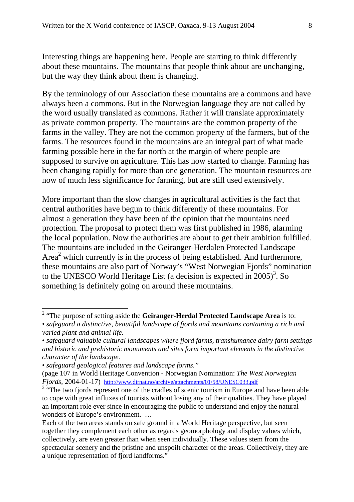Interesting things are happening here. People are starting to think differently about these mountains. The mountains that people think about are unchanging, but the way they think about them is changing.

By the terminology of our Association these mountains are a commons and have always been a commons. But in the Norwegian language they are not called by the word usually translated as commons. Rather it will translate approximately as private common property. The mountains are the common property of the farms in the valley. They are not the common property of the farmers, but of the farms. The resources found in the mountains are an integral part of what made farming possible here in the far north at the margin of where people are supposed to survive on agriculture. This has now started to change. Farming has been changing rapidly for more than one generation. The mountain resources are now of much less significance for farming, but are still used extensively.

More important than the slow changes in agricultural activities is the fact that central authorities have begun to think differently of these mountains. For almost a generation they have been of the opinion that the mountains need protection. The proposal to protect them was first published in 1986, alarming the local population. Now the authorities are about to get their ambition fulfilled. The mountains are included in the Geiranger-Herdalen Protected Landscape Area<sup>2</sup> which currently is in the process of being established. And furthermore, these mountains are also part of Norway's "West Norwegian Fjords" nomination to the UNESCO World Heritage List (a decision is expected in  $2005$ )<sup>3</sup>. So something is definitely going on around these mountains.

 2 "The purpose of setting aside the **Geiranger-Herdal Protected Landscape Area** is to:

<sup>•</sup> *safeguard a distinctive, beautiful landscape of fjords and mountains containing a rich and varied plant and animal life.* 

<sup>•</sup> *safeguard valuable cultural landscapes where fjord farms, transhumance dairy farm settings and historic and prehistoric monuments and sites form important elements in the distinctive character of the landscape.* 

<sup>•</sup> *safeguard geological features and landscape forms."*

<sup>(</sup>page 107 in World Heritage Convention - Norwegian Nomination: *The West Norwegian Fjords*, 2004-01-17) http://www.dirnat.no/archive/attachments/01/58/UNESC033.pdf 3

 $3^{\circ}$  "The two fjords represent one of the cradles of scenic tourism in Europe and have been able to cope with great influxes of tourists without losing any of their qualities. They have played an important role ever since in encouraging the public to understand and enjoy the natural wonders of Europe's environment. …

Each of the two areas stands on safe ground in a World Heritage perspective, but seen together they complement each other as regards geomorphology and display values which, collectively, are even greater than when seen individually. These values stem from the spectacular scenery and the pristine and unspoilt character of the areas. Collectively, they are a unique representation of fjord landforms."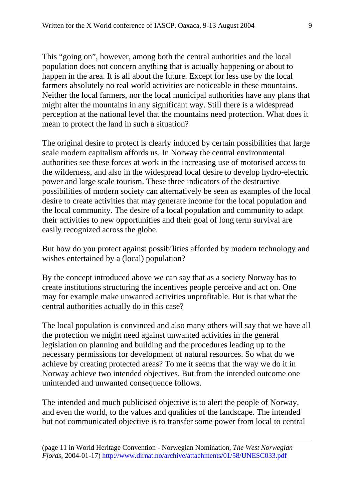This "going on", however, among both the central authorities and the local population does not concern anything that is actually happening or about to happen in the area. It is all about the future. Except for less use by the local farmers absolutely no real world activities are noticeable in these mountains. Neither the local farmers, nor the local municipal authorities have any plans that might alter the mountains in any significant way. Still there is a widespread perception at the national level that the mountains need protection. What does it mean to protect the land in such a situation?

The original desire to protect is clearly induced by certain possibilities that large scale modern capitalism affords us. In Norway the central environmental authorities see these forces at work in the increasing use of motorised access to the wilderness, and also in the widespread local desire to develop hydro-electric power and large scale tourism. These three indicators of the destructive possibilities of modern society can alternatively be seen as examples of the local desire to create activities that may generate income for the local population and the local community. The desire of a local population and community to adapt their activities to new opportunities and their goal of long term survival are easily recognized across the globe.

But how do you protect against possibilities afforded by modern technology and wishes entertained by a (local) population?

By the concept introduced above we can say that as a society Norway has to create institutions structuring the incentives people perceive and act on. One may for example make unwanted activities unprofitable. But is that what the central authorities actually do in this case?

The local population is convinced and also many others will say that we have all the protection we might need against unwanted activities in the general legislation on planning and building and the procedures leading up to the necessary permissions for development of natural resources. So what do we achieve by creating protected areas? To me it seems that the way we do it in Norway achieve two intended objectives. But from the intended outcome one unintended and unwanted consequence follows.

The intended and much publicised objective is to alert the people of Norway, and even the world, to the values and qualities of the landscape. The intended but not communicated objective is to transfer some power from local to central

(page 11 in World Heritage Convention - Norwegian Nomination, *The West Norwegian Fjords*, 2004-01-17) http://www.dirnat.no/archive/attachments/01/58/UNESC033.pdf

<u>.</u>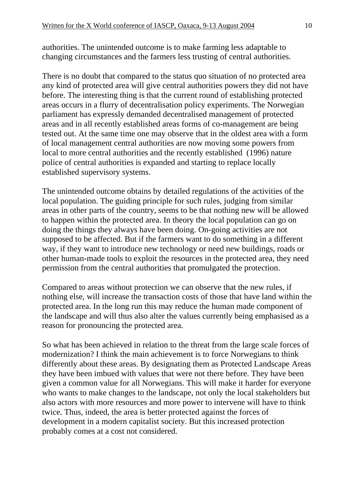authorities. The unintended outcome is to make farming less adaptable to changing circumstances and the farmers less trusting of central authorities.

There is no doubt that compared to the status quo situation of no protected area any kind of protected area will give central authorities powers they did not have before. The interesting thing is that the current round of establishing protected areas occurs in a flurry of decentralisation policy experiments. The Norwegian parliament has expressly demanded decentralised management of protected areas and in all recently established areas forms of co-management are being tested out. At the same time one may observe that in the oldest area with a form of local management central authorities are now moving some powers from local to more central authorities and the recently established (1996) nature police of central authorities is expanded and starting to replace locally established supervisory systems.

The unintended outcome obtains by detailed regulations of the activities of the local population. The guiding principle for such rules, judging from similar areas in other parts of the country, seems to be that nothing new will be allowed to happen within the protected area. In theory the local population can go on doing the things they always have been doing. On-going activities are not supposed to be affected. But if the farmers want to do something in a different way, if they want to introduce new technology or need new buildings, roads or other human-made tools to exploit the resources in the protected area, they need permission from the central authorities that promulgated the protection.

Compared to areas without protection we can observe that the new rules, if nothing else, will increase the transaction costs of those that have land within the protected area. In the long run this may reduce the human made component of the landscape and will thus also alter the values currently being emphasised as a reason for pronouncing the protected area.

So what has been achieved in relation to the threat from the large scale forces of modernization? I think the main achievement is to force Norwegians to think differently about these areas. By designating them as Protected Landscape Areas they have been imbued with values that were not there before. They have been given a common value for all Norwegians. This will make it harder for everyone who wants to make changes to the landscape, not only the local stakeholders but also actors with more resources and more power to intervene will have to think twice. Thus, indeed, the area is better protected against the forces of development in a modern capitalist society. But this increased protection probably comes at a cost not considered.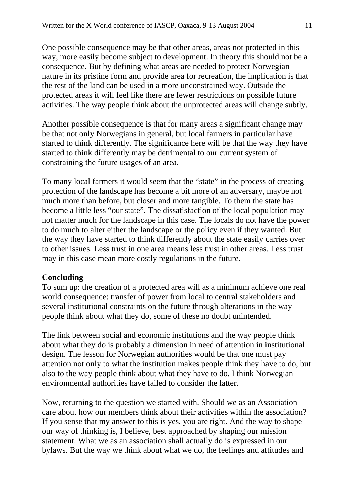One possible consequence may be that other areas, areas not protected in this way, more easily become subject to development. In theory this should not be a consequence. But by defining what areas are needed to protect Norwegian nature in its pristine form and provide area for recreation, the implication is that the rest of the land can be used in a more unconstrained way. Outside the protected areas it will feel like there are fewer restrictions on possible future activities. The way people think about the unprotected areas will change subtly.

Another possible consequence is that for many areas a significant change may be that not only Norwegians in general, but local farmers in particular have started to think differently. The significance here will be that the way they have started to think differently may be detrimental to our current system of constraining the future usages of an area.

To many local farmers it would seem that the "state" in the process of creating protection of the landscape has become a bit more of an adversary, maybe not much more than before, but closer and more tangible. To them the state has become a little less "our state". The dissatisfaction of the local population may not matter much for the landscape in this case. The locals do not have the power to do much to alter either the landscape or the policy even if they wanted. But the way they have started to think differently about the state easily carries over to other issues. Less trust in one area means less trust in other areas. Less trust may in this case mean more costly regulations in the future.

## **Concluding**

To sum up: the creation of a protected area will as a minimum achieve one real world consequence: transfer of power from local to central stakeholders and several institutional constraints on the future through alterations in the way people think about what they do, some of these no doubt unintended.

The link between social and economic institutions and the way people think about what they do is probably a dimension in need of attention in institutional design. The lesson for Norwegian authorities would be that one must pay attention not only to what the institution makes people think they have to do, but also to the way people think about what they have to do. I think Norwegian environmental authorities have failed to consider the latter.

Now, returning to the question we started with. Should we as an Association care about how our members think about their activities within the association? If you sense that my answer to this is yes, you are right. And the way to shape our way of thinking is, I believe, best approached by shaping our mission statement. What we as an association shall actually do is expressed in our bylaws. But the way we think about what we do, the feelings and attitudes and